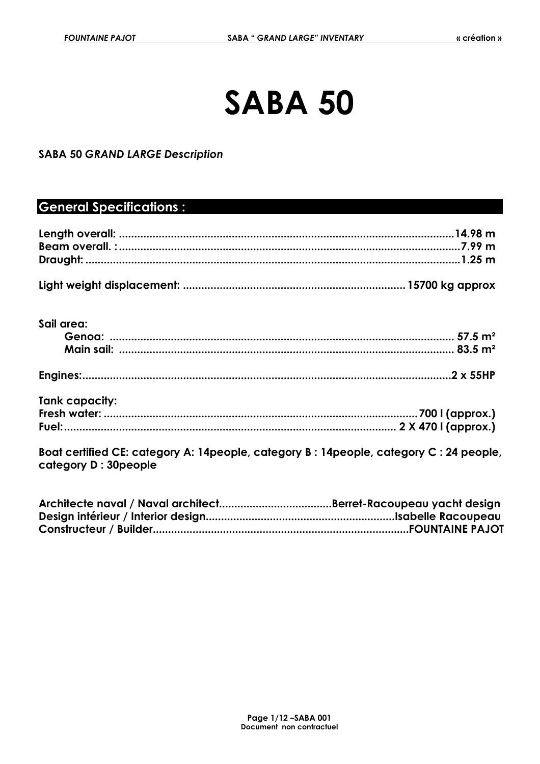# **SABA 50**

#### **SABA 50** *GRAND LARGE Description*

# **General Specifications :**

| Sail area:                                                                                                     |  |
|----------------------------------------------------------------------------------------------------------------|--|
|                                                                                                                |  |
|                                                                                                                |  |
|                                                                                                                |  |
| Tank capacity:                                                                                                 |  |
|                                                                                                                |  |
|                                                                                                                |  |
| Boat certified CE: category A: 14people, category B: 14people, category C: 24 people,<br>category D: 30 people |  |
|                                                                                                                |  |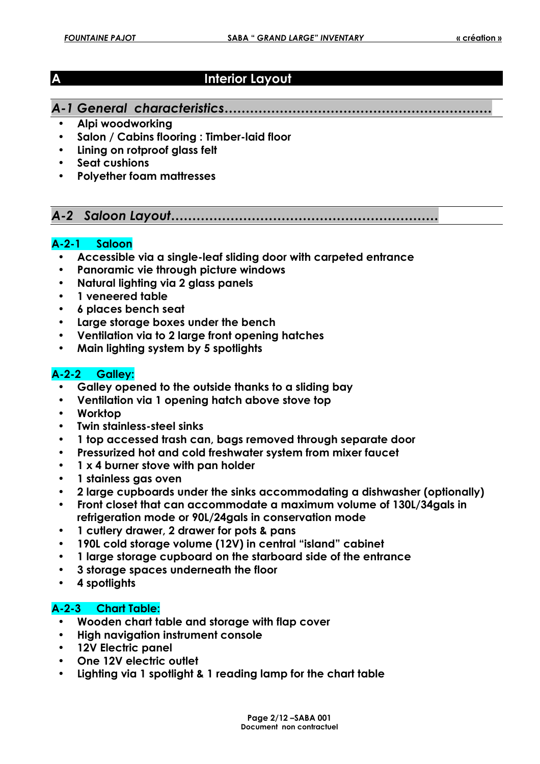# **A** Interior Layout

## *A-1 General characteristics………………………………………………………*

- **Alpi woodworking**
- **Salon / Cabins flooring : Timber-laid floor**
- **Lining on rotproof glass felt**
- **Seat cushions**
- **Polyether foam mattresses**

# *A-2 Saloon Layout………………………………………………………*

#### **A-2-1 Saloon**

- **Accessible via a single-leaf sliding door with carpeted entrance**
- **Panoramic vie through picture windows**
- **Natural lighting via 2 glass panels**
- **1 veneered table**
- **6 places bench seat**
- **Large storage boxes under the bench**
- **Ventilation via to 2 large front opening hatches**
- **Main lighting system by 5 spotlights**

#### **A-2-2 Galley:**

- **Galley opened to the outside thanks to a sliding bay**
- **Ventilation via 1 opening hatch above stove top**
- **Worktop**
- **Twin stainless-steel sinks**
- **1 top accessed trash can, bags removed through separate door**
- **Pressurized hot and cold freshwater system from mixer faucet**
- **1 x 4 burner stove with pan holder**
- **1 stainless gas oven**
- **2 large cupboards under the sinks accommodating a dishwasher (optionally)**
- **Front closet that can accommodate a maximum volume of 130L/34gals in refrigeration mode or 90L/24gals in conservation mode**
- **1 cutlery drawer, 2 drawer for pots & pans**
- **190L cold storage volume (12V) in central "island" cabinet**
- **1 large storage cupboard on the starboard side of the entrance**
- **3 storage spaces underneath the floor**
- **4 spotlights**

#### **A-2-3 Chart Table:**

- **Wooden chart table and storage with flap cover**
- **High navigation instrument console**
- **12V Electric panel**
- **One 12V electric outlet**
- **Lighting via 1 spotlight & 1 reading lamp for the chart table**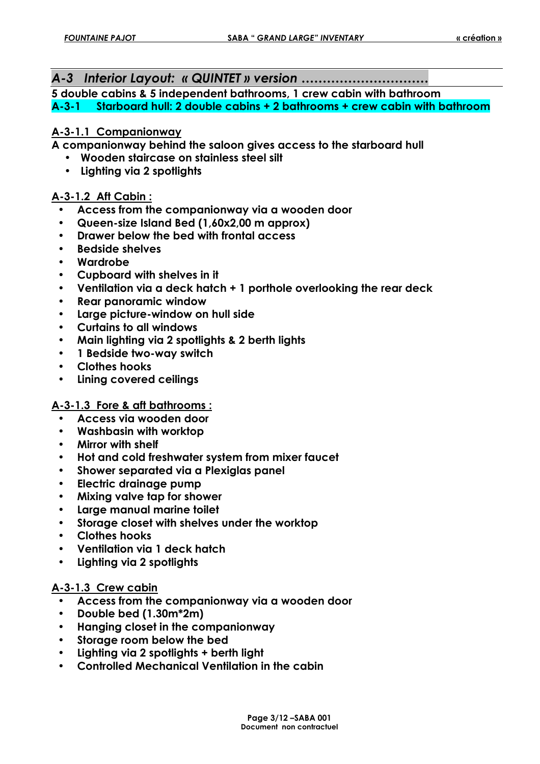*A-3 Interior Layout: « QUINTET » version …………………………*

**5 double cabins & 5 independent bathrooms, 1 crew cabin with bathroom A-3-1 Starboard hull: 2 double cabins + 2 bathrooms + crew cabin with bathroom** 

#### **A-3-1.1 Companionway**

**A companionway behind the saloon gives access to the starboard hull** 

- **Wooden staircase on stainless steel silt**
- **Lighting via 2 spotlights**

#### **A-3-1.2 Aft Cabin :**

- **Access from the companionway via a wooden door**
- **Queen-size Island Bed (1,60x2,00 m approx)**
- **Drawer below the bed with frontal access**
- **Bedside shelves**
- **Wardrobe**
- **Cupboard with shelves in it**
- **Ventilation via a deck hatch + 1 porthole overlooking the rear deck**
- **Rear panoramic window**
- **Large picture-window on hull side**
- **Curtains to all windows**
- **Main lighting via 2 spotlights & 2 berth lights**
- **1 Bedside two-way switch**
- **Clothes hooks**
- **Lining covered ceilings**

#### **A-3-1.3 Fore & aft bathrooms :**

- **Access via wooden door**
- **Washbasin with worktop**
- **Mirror with shelf**
- **Hot and cold freshwater system from mixer faucet**
- **Shower separated via a Plexiglas panel**
- **Electric drainage pump**
- **Mixing valve tap for shower**
- **Large manual marine toilet**
- **Storage closet with shelves under the worktop**
- **Clothes hooks**
- **Ventilation via 1 deck hatch**
- **Lighting via 2 spotlights**

#### **A-3-1.3 Crew cabin**

- **Access from the companionway via a wooden door**
- **Double bed (1.30m\*2m)**
- **Hanging closet in the companionway**
- **Storage room below the bed**
- **Lighting via 2 spotlights + berth light**
- **Controlled Mechanical Ventilation in the cabin**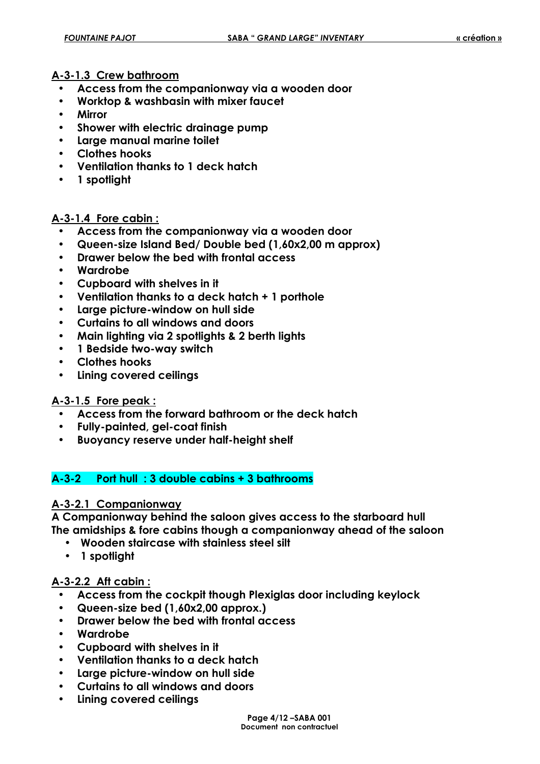#### **A-3-1.3 Crew bathroom**

- **Access from the companionway via a wooden door**
- **Worktop & washbasin with mixer faucet**
- **Mirror**
- **Shower with electric drainage pump**
- **Large manual marine toilet**
- **Clothes hooks**
- **Ventilation thanks to 1 deck hatch**
- **1 spotlight**

#### **A-3-1.4 Fore cabin :**

- **Access from the companionway via a wooden door**
- **Queen-size Island Bed/ Double bed (1,60x2,00 m approx)**
- **Drawer below the bed with frontal access**
- **Wardrobe**
- **Cupboard with shelves in it**
- **Ventilation thanks to a deck hatch + 1 porthole**
- **Large picture-window on hull side**
- **Curtains to all windows and doors**
- **Main lighting via 2 spotlights & 2 berth lights**
- **1 Bedside two-way switch**
- **Clothes hooks**
- **Lining covered ceilings**

#### **A-3-1.5 Fore peak :**

- **Access from the forward bathroom or the deck hatch**
- **Fully-painted, gel-coat finish**
- **Buoyancy reserve under half-height shelf**

#### **A-3-2 Port hull : 3 double cabins + 3 bathrooms**

#### **A-3-2.1 Companionway**

**A Companionway behind the saloon gives access to the starboard hull The amidships & fore cabins though a companionway ahead of the saloon** 

- **Wooden staircase with stainless steel silt**
- **1 spotlight**

#### **A-3-2.2 Aft cabin :**

- **Access from the cockpit though Plexiglas door including keylock**
- **Queen-size bed (1,60x2,00 approx.)**
- **Drawer below the bed with frontal access**
- **Wardrobe**
- **Cupboard with shelves in it**
- **Ventilation thanks to a deck hatch**
- **Large picture-window on hull side**
- **Curtains to all windows and doors**
- **Lining covered ceilings**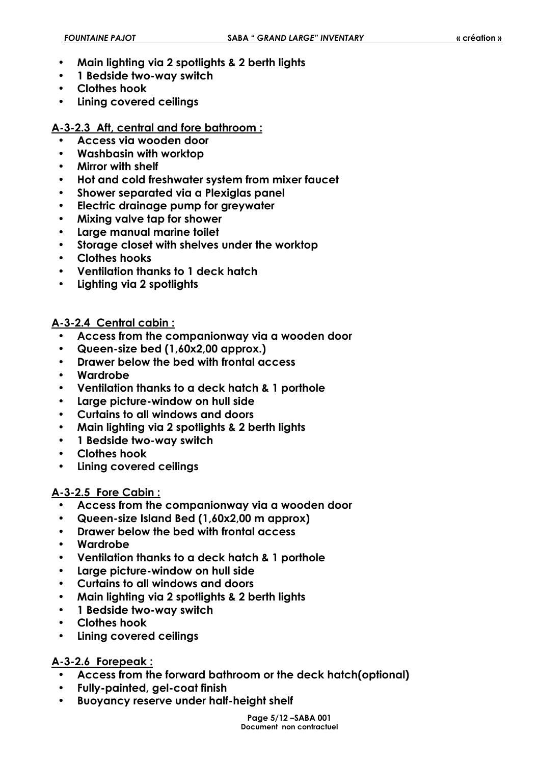- **Main lighting via 2 spotlights & 2 berth lights**
- **1 Bedside two-way switch**
- **Clothes hook**
- **Lining covered ceilings**

#### **A-3-2.3 Aft, central and fore bathroom :**

- **Access via wooden door**
- **Washbasin with worktop**
- **Mirror with shelf**
- **Hot and cold freshwater system from mixer faucet**
- **Shower separated via a Plexiglas panel**
- **Electric drainage pump for greywater**
- **Mixing valve tap for shower**
- **Large manual marine toilet**
- **Storage closet with shelves under the worktop**
- **Clothes hooks**
- **Ventilation thanks to 1 deck hatch**
- **Lighting via 2 spotlights**

### **A-3-2.4 Central cabin :**

- **Access from the companionway via a wooden door**
- **Queen-size bed (1,60x2,00 approx.)**
- **Drawer below the bed with frontal access**
- **Wardrobe**
- **Ventilation thanks to a deck hatch & 1 porthole**
- **Large picture-window on hull side**
- **Curtains to all windows and doors**
- **Main lighting via 2 spotlights & 2 berth lights**
- **1 Bedside two-way switch**
- **Clothes hook**
- **Lining covered ceilings**

#### **A-3-2.5 Fore Cabin :**

- **Access from the companionway via a wooden door**
- **Queen-size Island Bed (1,60x2,00 m approx)**
- **Drawer below the bed with frontal access**
- **Wardrobe**
- **Ventilation thanks to a deck hatch & 1 porthole**
- **Large picture-window on hull side**
- **Curtains to all windows and doors**
- **Main lighting via 2 spotlights & 2 berth lights**
- **1 Bedside two-way switch**
- **Clothes hook**
- **Lining covered ceilings**

#### **A-3-2.6 Forepeak :**

- **Access from the forward bathroom or the deck hatch(optional)**
- **Fully-painted, gel-coat finish**
- **Buoyancy reserve under half-height shelf**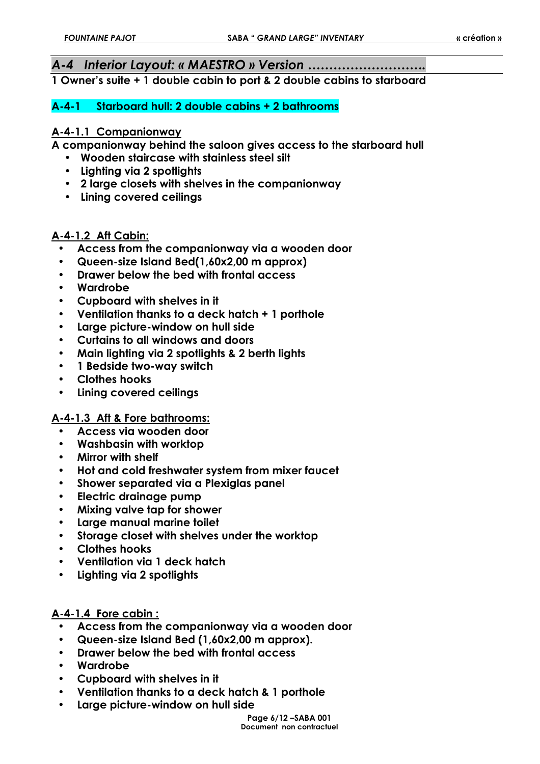#### *A-4 Interior Layout: « MAESTRO » Version ……………………….*

**1 Owner's suite + 1 double cabin to port & 2 double cabins to starboard** 

#### **A-4-1 Starboard hull: 2 double cabins + 2 bathrooms**

#### **A-4-1.1 Companionway**

**A companionway behind the saloon gives access to the starboard hull** 

- **Wooden staircase with stainless steel silt**
- **Lighting via 2 spotlights**
- **2 large closets with shelves in the companionway**
- **Lining covered ceilings**

#### **A-4-1.2 Aft Cabin:**

- **Access from the companionway via a wooden door**
- **Queen-size Island Bed(1,60x2,00 m approx)**
- **Drawer below the bed with frontal access**
- **Wardrobe**
- **Cupboard with shelves in it**
- **Ventilation thanks to a deck hatch + 1 porthole**
- **Large picture-window on hull side**
- **Curtains to all windows and doors**
- **Main lighting via 2 spotlights & 2 berth lights**
- **1 Bedside two-way switch**
- **Clothes hooks**
- **Lining covered ceilings**

#### **A-4-1.3 Aft & Fore bathrooms:**

- **Access via wooden door**
- **Washbasin with worktop**
- **Mirror with shelf**
- **Hot and cold freshwater system from mixer faucet**
- **Shower separated via a Plexiglas panel**
- **Electric drainage pump**
- **Mixing valve tap for shower**
- **Large manual marine toilet**
- **Storage closet with shelves under the worktop**
- **Clothes hooks**
- **Ventilation via 1 deck hatch**
- **Lighting via 2 spotlights**

#### **A-4-1.4 Fore cabin :**

- **Access from the companionway via a wooden door**
- **Queen-size Island Bed (1,60x2,00 m approx).**
- **Drawer below the bed with frontal access**
- **Wardrobe**
- **Cupboard with shelves in it**
- **Ventilation thanks to a deck hatch & 1 porthole**
- **Large picture-window on hull side**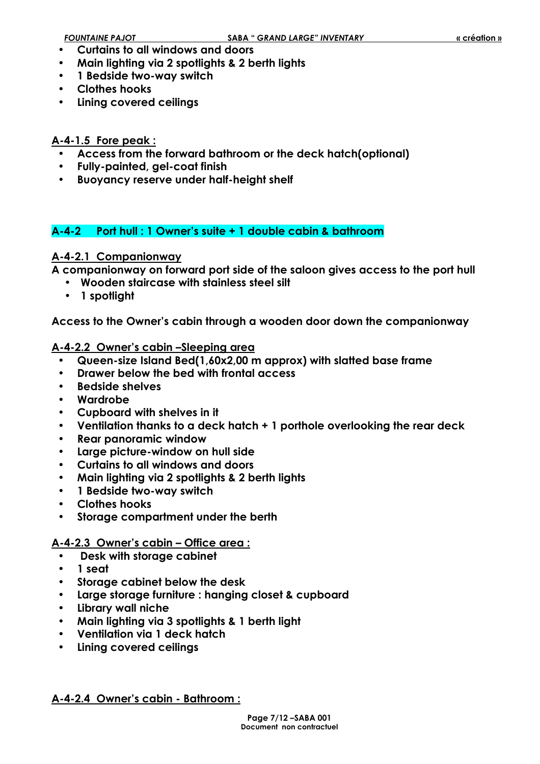- **Curtains to all windows and doors**
- **Main lighting via 2 spotlights & 2 berth lights**
- **1 Bedside two-way switch**
- **Clothes hooks**
- **Lining covered ceilings**

#### **A-4-1.5 Fore peak :**

- **Access from the forward bathroom or the deck hatch(optional)**
- **Fully-painted, gel-coat finish**
- **Buoyancy reserve under half-height shelf**

# **A-4-2 Port hull : 1 Owner's suite + 1 double cabin & bathroom**

### **A-4-2.1 Companionway**

**A companionway on forward port side of the saloon gives access to the port hull** 

- **Wooden staircase with stainless steel silt**
- **1 spotlight**

**Access to the Owner's cabin through a wooden door down the companionway** 

#### **A-4-2.2 Owner's cabin –Sleeping area**

- **Queen-size Island Bed(1,60x2,00 m approx) with slatted base frame**
- **Drawer below the bed with frontal access**
- **Bedside shelves**
- **Wardrobe**
- **Cupboard with shelves in it**
- **Ventilation thanks to a deck hatch + 1 porthole overlooking the rear deck**
- **Rear panoramic window**
- **Large picture-window on hull side**
- **Curtains to all windows and doors**
- **Main lighting via 2 spotlights & 2 berth lights**
- **1 Bedside two-way switch**
- **Clothes hooks**
- **Storage compartment under the berth**

### **A-4-2.3 Owner's cabin – Office area :**

- • **Desk with storage cabinet**
- **1 seat**
- **Storage cabinet below the desk**
- **Large storage furniture : hanging closet & cupboard**
- **Library wall niche**
- **Main lighting via 3 spotlights & 1 berth light**
- **Ventilation via 1 deck hatch**
- **Lining covered ceilings**

#### **A-4-2.4 Owner's cabin - Bathroom :**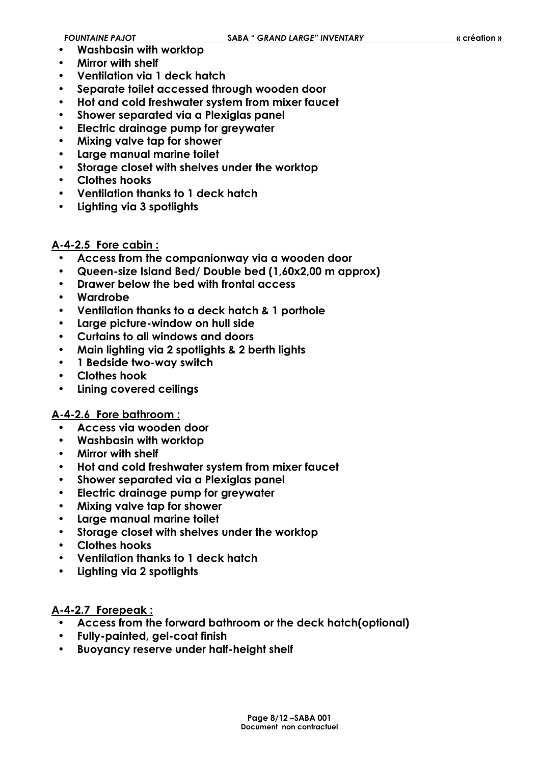- **Washbasin with worktop**
- **Mirror with shelf**
- **Ventilation via 1 deck hatch**
- **Separate toilet accessed through wooden door**
- **Hot and cold freshwater system from mixer faucet**
- **Shower separated via a Plexiglas panel**
- **Electric drainage pump for greywater**
- **Mixing valve tap for shower**
- **Large manual marine toilet**
- **Storage closet with shelves under the worktop**
- **Clothes hooks**
- **Ventilation thanks to 1 deck hatch**
- **Lighting via 3 spotlights**

#### **A-4-2.5 Fore cabin :**

- **Access from the companionway via a wooden door**
- **Queen-size Island Bed/ Double bed (1,60x2,00 m approx)**
- **Drawer below the bed with frontal access**
- **Wardrobe**
- **Ventilation thanks to a deck hatch & 1 porthole**
- **Large picture-window on hull side**
- **Curtains to all windows and doors**
- **Main lighting via 2 spotlights & 2 berth lights**
- **1 Bedside two-way switch**
- **Clothes hook**
- **Lining covered ceilings**

#### **A-4-2.6 Fore bathroom :**

- **Access via wooden door**
- **Washbasin with worktop**
- **Mirror with shelf**
- **Hot and cold freshwater system from mixer faucet**
- **Shower separated via a Plexiglas panel**
- **Electric drainage pump for greywater**
- **Mixing valve tap for shower**
- **Large manual marine toilet**
- **Storage closet with shelves under the worktop**
- **Clothes hooks**
- **Ventilation thanks to 1 deck hatch**
- **Lighting via 2 spotlights**

#### **A-4-2.7 Forepeak :**

- **Access from the forward bathroom or the deck hatch(optional)**
- **Fully-painted, gel-coat finish**
- **Buoyancy reserve under half-height shelf**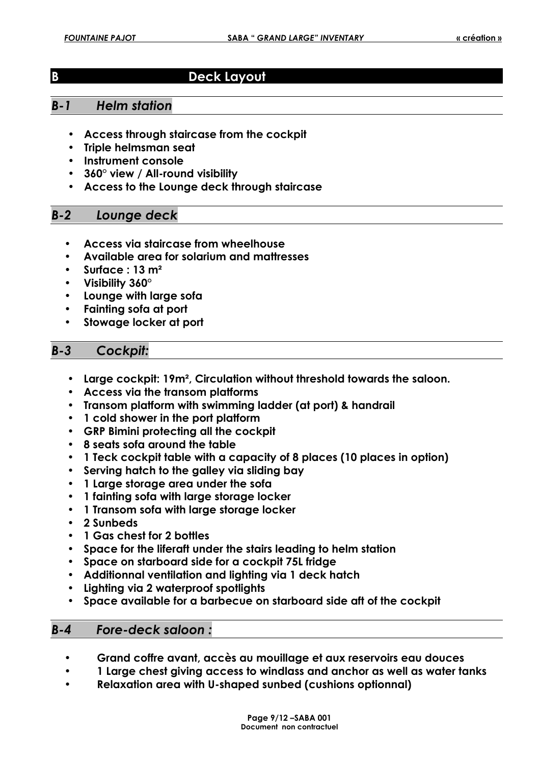# **B** Deck Layout

## *B-1 Helm station*

- **Access through staircase from the cockpit**
- **Triple helmsman seat**
- **Instrument console**
- **360° view / All-round visibility**
- **Access to the Lounge deck through staircase**

### *B-2 Lounge deck*

- **Access via staircase from wheelhouse**
- **Available area for solarium and mattresses**
- **Surface : 13 m²**
- **Visibility 360°**
- **Lounge with large sofa**
- **Fainting sofa at port**
- **Stowage locker at port**

### *B-3 Cockpit:*

- **Large cockpit: 19m², Circulation without threshold towards the saloon.**
- **Access via the transom platforms**
- **Transom platform with swimming ladder (at port) & handrail**
- **1 cold shower in the port platform**
- **GRP Bimini protecting all the cockpit**
- **8 seats sofa around the table**
- **1 Teck cockpit table with a capacity of 8 places (10 places in option)**
- **Serving hatch to the galley via sliding bay**
- **1 Large storage area under the sofa**
- **1 fainting sofa with large storage locker**
- **1 Transom sofa with large storage locker**
- **2 Sunbeds**
- **1 Gas chest for 2 bottles**
- **Space for the liferaft under the stairs leading to helm station**
- **Space on starboard side for a cockpit 75L fridge**
- **Additionnal ventilation and lighting via 1 deck hatch**
- **Lighting via 2 waterproof spotlights**
- **Space available for a barbecue on starboard side aft of the cockpit**

#### *B-4 Fore-deck saloon :*

- **Grand coffre avant, accès au mouillage et aux reservoirs eau douces**
- **1 Large chest giving access to windlass and anchor as well as water tanks**
- **Relaxation area with U-shaped sunbed (cushions optionnal)**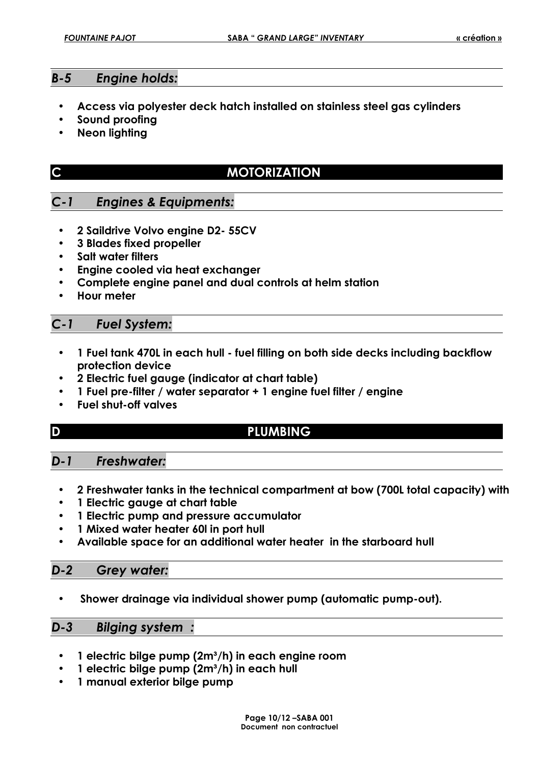### *B-5 Engine holds:*

- **Access via polyester deck hatch installed on stainless steel gas cylinders**
- **Sound proofing**
- **Neon lighting**

|  | $\frac{1}{2}$<br>43 |
|--|---------------------|
|  |                     |
|  |                     |

# **MOTORIZATION**

# *C-1 Engines & Equipments:*

- **2 Saildrive Volvo engine D2- 55CV**
- **3 Blades fixed propeller**
- **Salt water filters**
- **Engine cooled via heat exchanger**
- **Complete engine panel and dual controls at helm station**
- **Hour meter**

# *C-1 Fuel System:*

- **1 Fuel tank 470L in each hull fuel filling on both side decks including backflow protection device**
- **2 Electric fuel gauge (indicator at chart table)**
- **1 Fuel pre-filter / water separator + 1 engine fuel filter / engine**
- **Fuel shut-off valves**

# **D PLUMBING**

### *D-1 Freshwater:*

- **2 Freshwater tanks in the technical compartment at bow (700L total capacity) with**
- **1 Electric gauge at chart table**
- **1 Electric pump and pressure accumulator**
- **1 Mixed water heater 60l in port hull**
- **Available space for an additional water heater in the starboard hull**

#### *D-2 Grey water:*

• **Shower drainage via individual shower pump (automatic pump-out).** 

#### *D-3 Bilging system :*

- **1 electric bilge pump (2m³/h) in each engine room**
- **1 electric bilge pump (2m³/h) in each hull**
- **1 manual exterior bilge pump**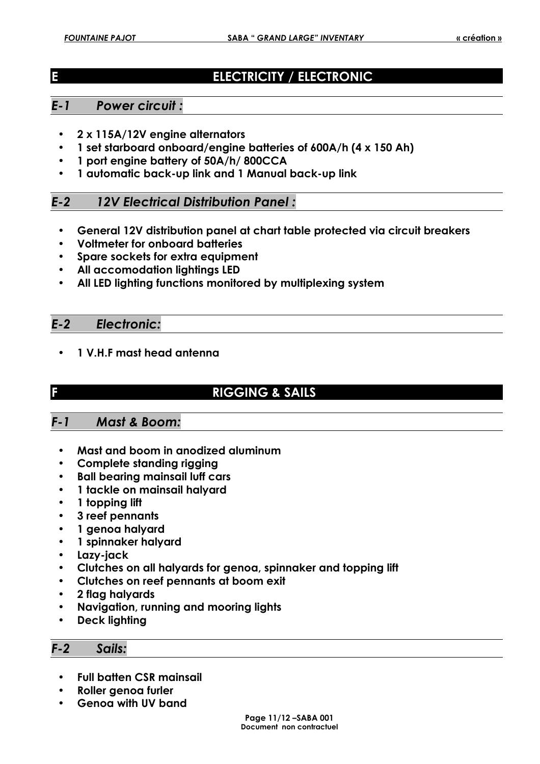# **ELECTRICITY / ELECTRONIC**

# *E-1 Power circuit :*

- **2 x 115A/12V engine alternators**
- **1 set starboard onboard/engine batteries of 600A/h (4 x 150 Ah)**
- **1 port engine battery of 50A/h/ 800CCA**
- **1 automatic back-up link and 1 Manual back-up link**

# *E-2 12V Electrical Distribution Panel :*

- **General 12V distribution panel at chart table protected via circuit breakers**
- **Voltmeter for onboard batteries**
- **Spare sockets for extra equipment**
- **All accomodation lightings LED**
- **All LED lighting functions monitored by multiplexing system**

#### *E-2 Electronic:*

- **1 V.H.F mast head antenna**
- 

# **F RIGGING & SAILS**

# *F-1 Mast & Boom:*

- **Mast and boom in anodized aluminum**
- **Complete standing rigging**
- **Ball bearing mainsail luff cars**
- **1 tackle on mainsail halyard**
- **1 topping lift**
- **3 reef pennants**
- **1 genoa halyard**
- **1 spinnaker halyard**
- **Lazy-jack**
- **Clutches on all halyards for genoa, spinnaker and topping lift**
- **Clutches on reef pennants at boom exit**
- **2 flag halyards**
- **Navigation, running and mooring lights**
- **Deck lighting**

#### *F-2 Sails:*

- **Full batten CSR mainsail**
- **Roller genoa furler**
- **Genoa with UV band**